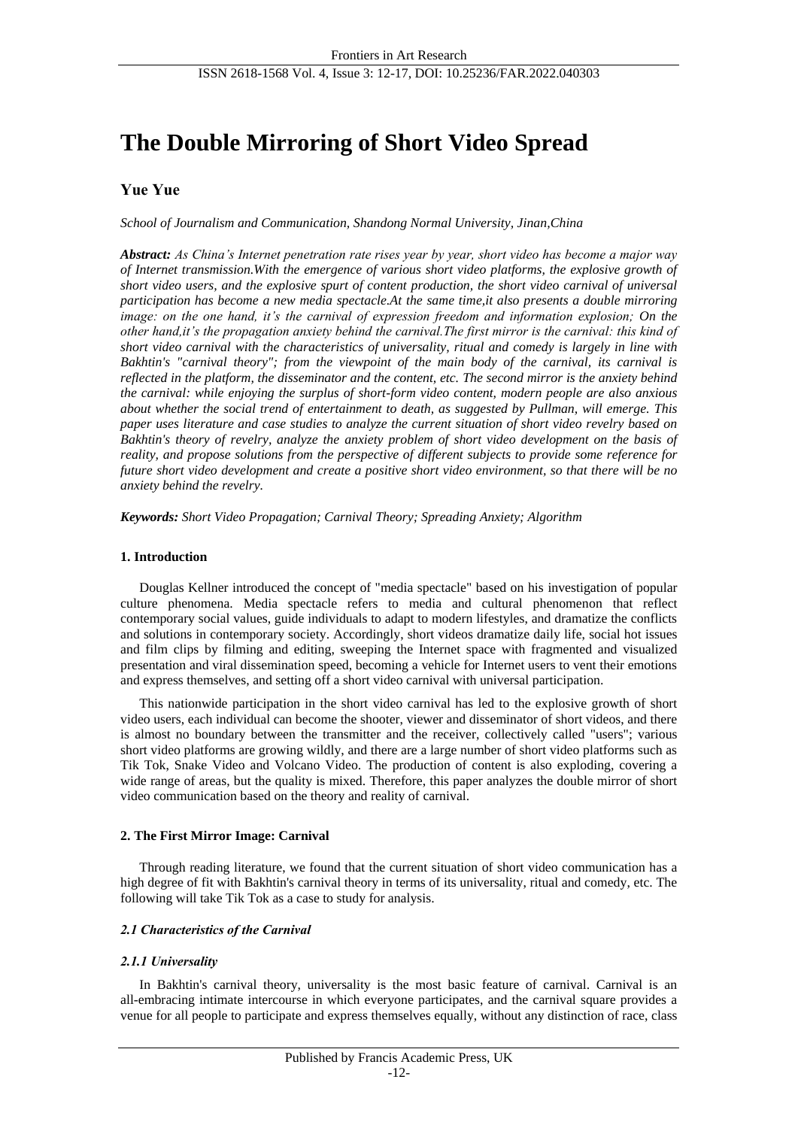# **The Double Mirroring of Short Video Spread**

# **Yue Yue**

*School of Journalism and Communication, Shandong Normal University, Jinan,China*

*Abstract: As China's Internet penetration rate rises year by year, short video has become a major way of Internet transmission.With the emergence of various short video platforms, the explosive growth of short video users, and the explosive spurt of content production, the short video carnival of universal participation has become a new media spectacle.At the same time,it also presents a double mirroring image: on the one hand, it's the carnival of expression freedom and information explosion; On the other hand,it's the propagation anxiety behind the carnival.The first mirror is the carnival: this kind of short video carnival with the characteristics of universality, ritual and comedy is largely in line with Bakhtin's "carnival theory"; from the viewpoint of the main body of the carnival, its carnival is reflected in the platform, the disseminator and the content, etc. The second mirror is the anxiety behind the carnival: while enjoying the surplus of short-form video content, modern people are also anxious about whether the social trend of entertainment to death, as suggested by Pullman, will emerge. This paper uses literature and case studies to analyze the current situation of short video revelry based on Bakhtin's theory of revelry, analyze the anxiety problem of short video development on the basis of reality, and propose solutions from the perspective of different subjects to provide some reference for future short video development and create a positive short video environment, so that there will be no anxiety behind the revelry.*

*Keywords: Short Video Propagation; Carnival Theory; Spreading Anxiety; Algorithm*

### **1. Introduction**

Douglas Kellner introduced the concept of "media spectacle" based on his investigation of popular culture phenomena. Media spectacle refers to media and cultural phenomenon that reflect contemporary social values, guide individuals to adapt to modern lifestyles, and dramatize the conflicts and solutions in contemporary society. Accordingly, short videos dramatize daily life, social hot issues and film clips by filming and editing, sweeping the Internet space with fragmented and visualized presentation and viral dissemination speed, becoming a vehicle for Internet users to vent their emotions and express themselves, and setting off a short video carnival with universal participation.

This nationwide participation in the short video carnival has led to the explosive growth of short video users, each individual can become the shooter, viewer and disseminator of short videos, and there is almost no boundary between the transmitter and the receiver, collectively called "users"; various short video platforms are growing wildly, and there are a large number of short video platforms such as Tik Tok, Snake Video and Volcano Video. The production of content is also exploding, covering a wide range of areas, but the quality is mixed. Therefore, this paper analyzes the double mirror of short video communication based on the theory and reality of carnival.

### **2. The First Mirror Image: Carnival**

Through reading literature, we found that the current situation of short video communication has a high degree of fit with Bakhtin's carnival theory in terms of its universality, ritual and comedy, etc. The following will take Tik Tok as a case to study for analysis.

### *2.1 Characteristics of the Carnival*

### *2.1.1 Universality*

In Bakhtin's carnival theory, universality is the most basic feature of carnival. Carnival is an all-embracing intimate intercourse in which everyone participates, and the carnival square provides a venue for all people to participate and express themselves equally, without any distinction of race, class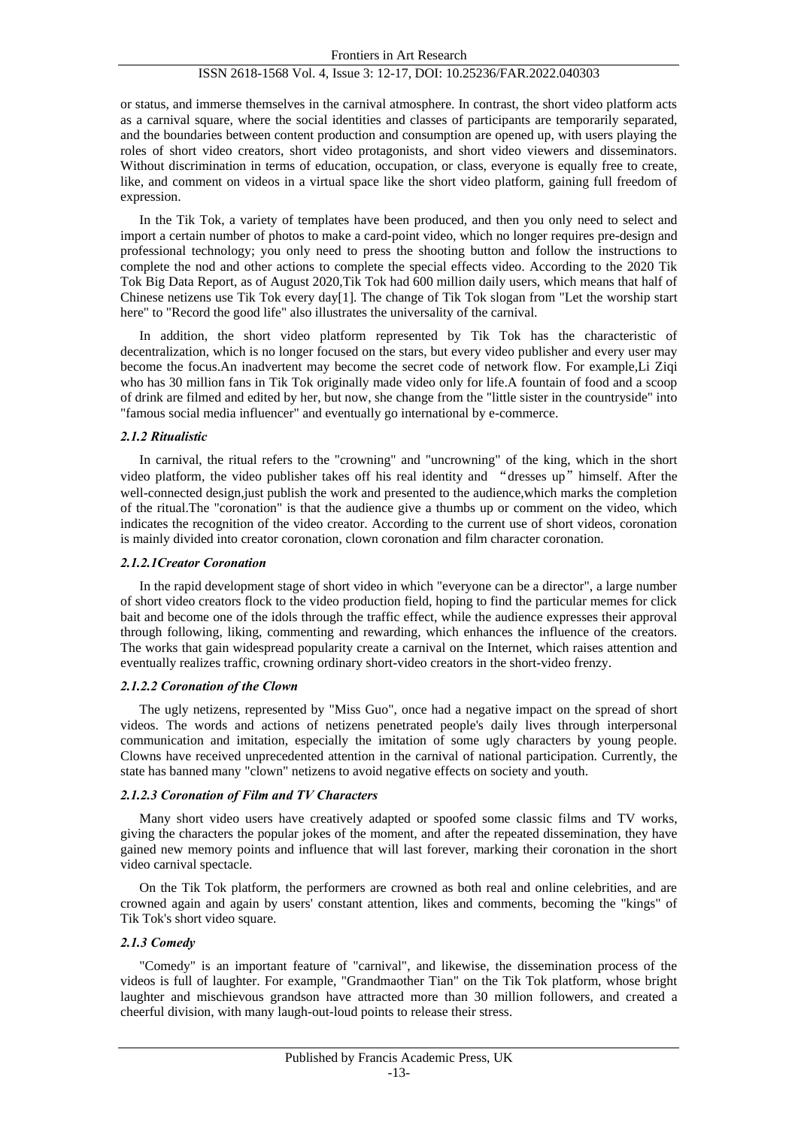or status, and immerse themselves in the carnival atmosphere. In contrast, the short video platform acts as a carnival square, where the social identities and classes of participants are temporarily separated, and the boundaries between content production and consumption are opened up, with users playing the roles of short video creators, short video protagonists, and short video viewers and disseminators. Without discrimination in terms of education, occupation, or class, everyone is equally free to create, like, and comment on videos in a virtual space like the short video platform, gaining full freedom of expression.

In the Tik Tok, a variety of templates have been produced, and then you only need to select and import a certain number of photos to make a card-point video, which no longer requires pre-design and professional technology; you only need to press the shooting button and follow the instructions to complete the nod and other actions to complete the special effects video. According to the 2020 Tik Tok Big Data Report, as of August 2020,Tik Tok had 600 million daily users, which means that half of Chinese netizens use Tik Tok every day[1]. The change of Tik Tok slogan from "Let the worship start here" to "Record the good life" also illustrates the universality of the carnival.

In addition, the short video platform represented by Tik Tok has the characteristic of decentralization, which is no longer focused on the stars, but every video publisher and every user may become the focus.An inadvertent may become the secret code of network flow. For example,Li Ziqi who has 30 million fans in Tik Tok originally made video only for life.A fountain of food and a scoop of drink are filmed and edited by her, but now, she change from the "little sister in the countryside" into "famous social media influencer" and eventually go international by e-commerce.

#### *2.1.2 Ritualistic*

In carnival, the ritual refers to the "crowning" and "uncrowning" of the king, which in the short video platform, the video publisher takes off his real identity and "dresses up"himself. After the well-connected design, just publish the work and presented to the audience, which marks the completion of the ritual.The "coronation" is that the audience give a thumbs up or comment on the video, which indicates the recognition of the video creator. According to the current use of short videos, coronation is mainly divided into creator coronation, clown coronation and film character coronation.

#### *2.1.2.1Creator Coronation*

In the rapid development stage of short video in which "everyone can be a director", a large number of short video creators flock to the video production field, hoping to find the particular memes for click bait and become one of the idols through the traffic effect, while the audience expresses their approval through following, liking, commenting and rewarding, which enhances the influence of the creators. The works that gain widespread popularity create a carnival on the Internet, which raises attention and eventually realizes traffic, crowning ordinary short-video creators in the short-video frenzy.

#### *2.1.2.2 Coronation of the Clown*

The ugly netizens, represented by "Miss Guo", once had a negative impact on the spread of short videos. The words and actions of netizens penetrated people's daily lives through interpersonal communication and imitation, especially the imitation of some ugly characters by young people. Clowns have received unprecedented attention in the carnival of national participation. Currently, the state has banned many "clown" netizens to avoid negative effects on society and youth.

### *2.1.2.3 Coronation of Film and TV Characters*

Many short video users have creatively adapted or spoofed some classic films and TV works, giving the characters the popular jokes of the moment, and after the repeated dissemination, they have gained new memory points and influence that will last forever, marking their coronation in the short video carnival spectacle.

On the Tik Tok platform, the performers are crowned as both real and online celebrities, and are crowned again and again by users' constant attention, likes and comments, becoming the "kings" of Tik Tok's short video square.

### *2.1.3 Comedy*

"Comedy" is an important feature of "carnival", and likewise, the dissemination process of the videos is full of laughter. For example, "Grandmaother Tian" on the Tik Tok platform, whose bright laughter and mischievous grandson have attracted more than 30 million followers, and created a cheerful division, with many laugh-out-loud points to release their stress.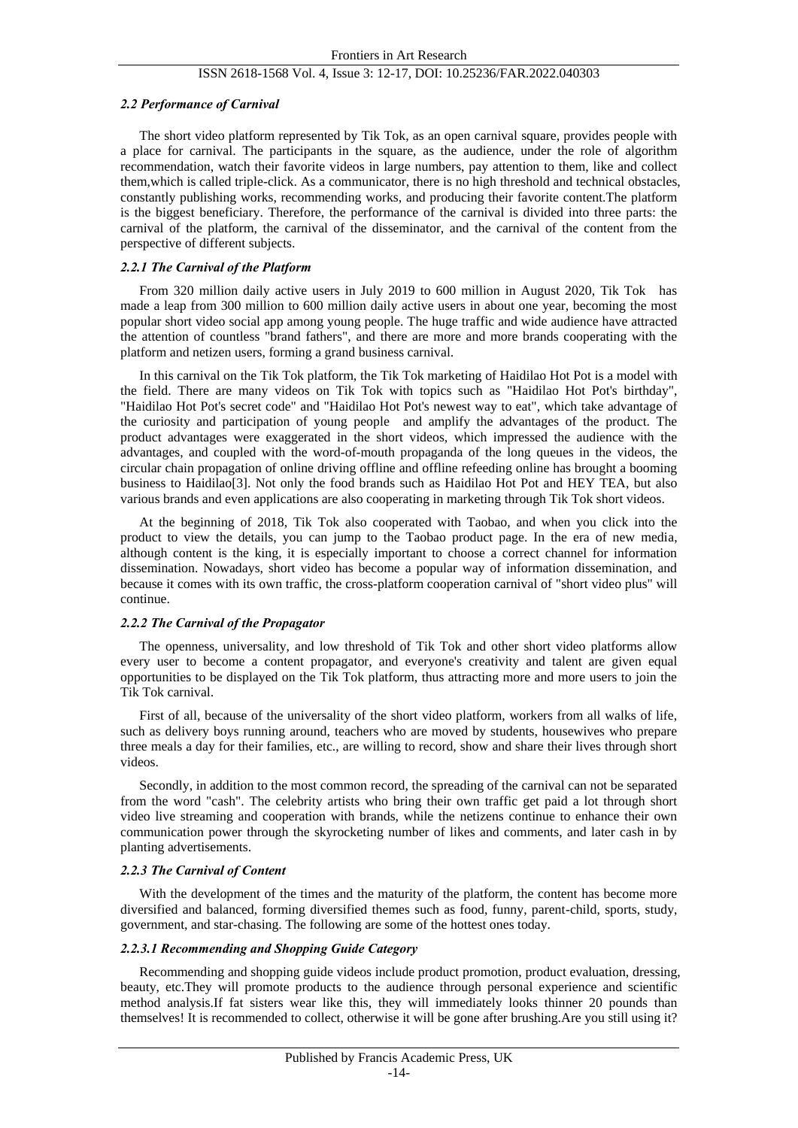#### *2.2 Performance of Carnival*

The short video platform represented by Tik Tok, as an open carnival square, provides people with a place for carnival. The participants in the square, as the audience, under the role of algorithm recommendation, watch their favorite videos in large numbers, pay attention to them, like and collect them,which is called triple-click. As a communicator, there is no high threshold and technical obstacles, constantly publishing works, recommending works, and producing their favorite content.The platform is the biggest beneficiary. Therefore, the performance of the carnival is divided into three parts: the carnival of the platform, the carnival of the disseminator, and the carnival of the content from the perspective of different subjects.

#### *2.2.1 The Carnival of the Platform*

From 320 million daily active users in July 2019 to 600 million in August 2020, Tik Tok has made a leap from 300 million to 600 million daily active users in about one year, becoming the most popular short video social app among young people. The huge traffic and wide audience have attracted the attention of countless "brand fathers", and there are more and more brands cooperating with the platform and netizen users, forming a grand business carnival.

In this carnival on the Tik Tok platform, the Tik Tok marketing of Haidilao Hot Pot is a model with the field. There are many videos on Tik Tok with topics such as "Haidilao Hot Pot's birthday", "Haidilao Hot Pot's secret code" and "Haidilao Hot Pot's newest way to eat", which take advantage of the curiosity and participation of young people and amplify the advantages of the product. The product advantages were exaggerated in the short videos, which impressed the audience with the advantages, and coupled with the word-of-mouth propaganda of the long queues in the videos, the circular chain propagation of online driving offline and offline refeeding online has brought a booming business to Haidilao[3]. Not only the food brands such as Haidilao Hot Pot and HEY TEA, but also various brands and even applications are also cooperating in marketing through Tik Tok short videos.

At the beginning of 2018, Tik Tok also cooperated with Taobao, and when you click into the product to view the details, you can jump to the Taobao product page. In the era of new media, although content is the king, it is especially important to choose a correct channel for information dissemination. Nowadays, short video has become a popular way of information dissemination, and because it comes with its own traffic, the cross-platform cooperation carnival of "short video plus" will continue.

#### *2.2.2 The Carnival of the Propagator*

The openness, universality, and low threshold of Tik Tok and other short video platforms allow every user to become a content propagator, and everyone's creativity and talent are given equal opportunities to be displayed on the Tik Tok platform, thus attracting more and more users to join the Tik Tok carnival.

First of all, because of the universality of the short video platform, workers from all walks of life, such as delivery boys running around, teachers who are moved by students, housewives who prepare three meals a day for their families, etc., are willing to record, show and share their lives through short videos.

Secondly, in addition to the most common record, the spreading of the carnival can not be separated from the word "cash". The celebrity artists who bring their own traffic get paid a lot through short video live streaming and cooperation with brands, while the netizens continue to enhance their own communication power through the skyrocketing number of likes and comments, and later cash in by planting advertisements.

#### *2.2.3 The Carnival of Content*

With the development of the times and the maturity of the platform, the content has become more diversified and balanced, forming diversified themes such as food, funny, parent-child, sports, study, government, and star-chasing. The following are some of the hottest ones today.

## *2.2.3.1 Recommending and Shopping Guide Category*

Recommending and shopping guide videos include product promotion, product evaluation, dressing, beauty, etc.They will promote products to the audience through personal experience and scientific method analysis.If fat sisters wear like this, they will immediately looks thinner 20 pounds than themselves! It is recommended to collect, otherwise it will be gone after brushing.Are you still using it?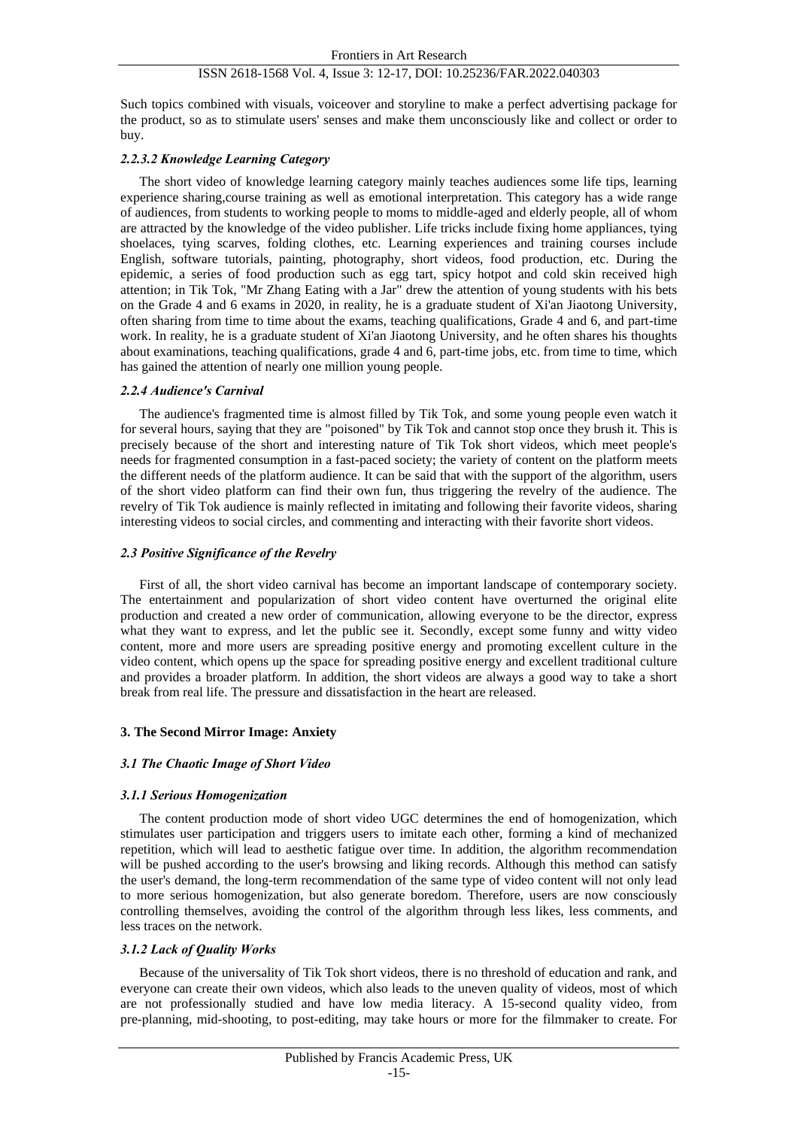Such topics combined with visuals, voiceover and storyline to make a perfect advertising package for the product, so as to stimulate users' senses and make them unconsciously like and collect or order to buy.

## *2.2.3.2 Knowledge Learning Category*

The short video of knowledge learning category mainly teaches audiences some life tips, learning experience sharing,course training as well as emotional interpretation. This category has a wide range of audiences, from students to working people to moms to middle-aged and elderly people, all of whom are attracted by the knowledge of the video publisher. Life tricks include fixing home appliances, tying shoelaces, tying scarves, folding clothes, etc. Learning experiences and training courses include English, software tutorials, painting, photography, short videos, food production, etc. During the epidemic, a series of food production such as egg tart, spicy hotpot and cold skin received high attention; in Tik Tok, "Mr Zhang Eating with a Jar" drew the attention of young students with his bets on the Grade 4 and 6 exams in 2020, in reality, he is a graduate student of Xi'an Jiaotong University, often sharing from time to time about the exams, teaching qualifications, Grade 4 and 6, and part-time work. In reality, he is a graduate student of Xi'an Jiaotong University, and he often shares his thoughts about examinations, teaching qualifications, grade 4 and 6, part-time jobs, etc. from time to time, which has gained the attention of nearly one million young people.

### *2.2.4 Audience's Carnival*

The audience's fragmented time is almost filled by Tik Tok, and some young people even watch it for several hours, saying that they are "poisoned" by Tik Tok and cannot stop once they brush it. This is precisely because of the short and interesting nature of Tik Tok short videos, which meet people's needs for fragmented consumption in a fast-paced society; the variety of content on the platform meets the different needs of the platform audience. It can be said that with the support of the algorithm, users of the short video platform can find their own fun, thus triggering the revelry of the audience. The revelry of Tik Tok audience is mainly reflected in imitating and following their favorite videos, sharing interesting videos to social circles, and commenting and interacting with their favorite short videos.

### *2.3 Positive Significance of the Revelry*

First of all, the short video carnival has become an important landscape of contemporary society. The entertainment and popularization of short video content have overturned the original elite production and created a new order of communication, allowing everyone to be the director, express what they want to express, and let the public see it. Secondly, except some funny and witty video content, more and more users are spreading positive energy and promoting excellent culture in the video content, which opens up the space for spreading positive energy and excellent traditional culture and provides a broader platform. In addition, the short videos are always a good way to take a short break from real life. The pressure and dissatisfaction in the heart are released.

### **3. The Second Mirror Image: Anxiety**

### *3.1 The Chaotic Image of Short Video*

### *3.1.1 Serious Homogenization*

The content production mode of short video UGC determines the end of homogenization, which stimulates user participation and triggers users to imitate each other, forming a kind of mechanized repetition, which will lead to aesthetic fatigue over time. In addition, the algorithm recommendation will be pushed according to the user's browsing and liking records. Although this method can satisfy the user's demand, the long-term recommendation of the same type of video content will not only lead to more serious homogenization, but also generate boredom. Therefore, users are now consciously controlling themselves, avoiding the control of the algorithm through less likes, less comments, and less traces on the network.

### *3.1.2 Lack of Quality Works*

Because of the universality of Tik Tok short videos, there is no threshold of education and rank, and everyone can create their own videos, which also leads to the uneven quality of videos, most of which are not professionally studied and have low media literacy. A 15-second quality video, from pre-planning, mid-shooting, to post-editing, may take hours or more for the filmmaker to create. For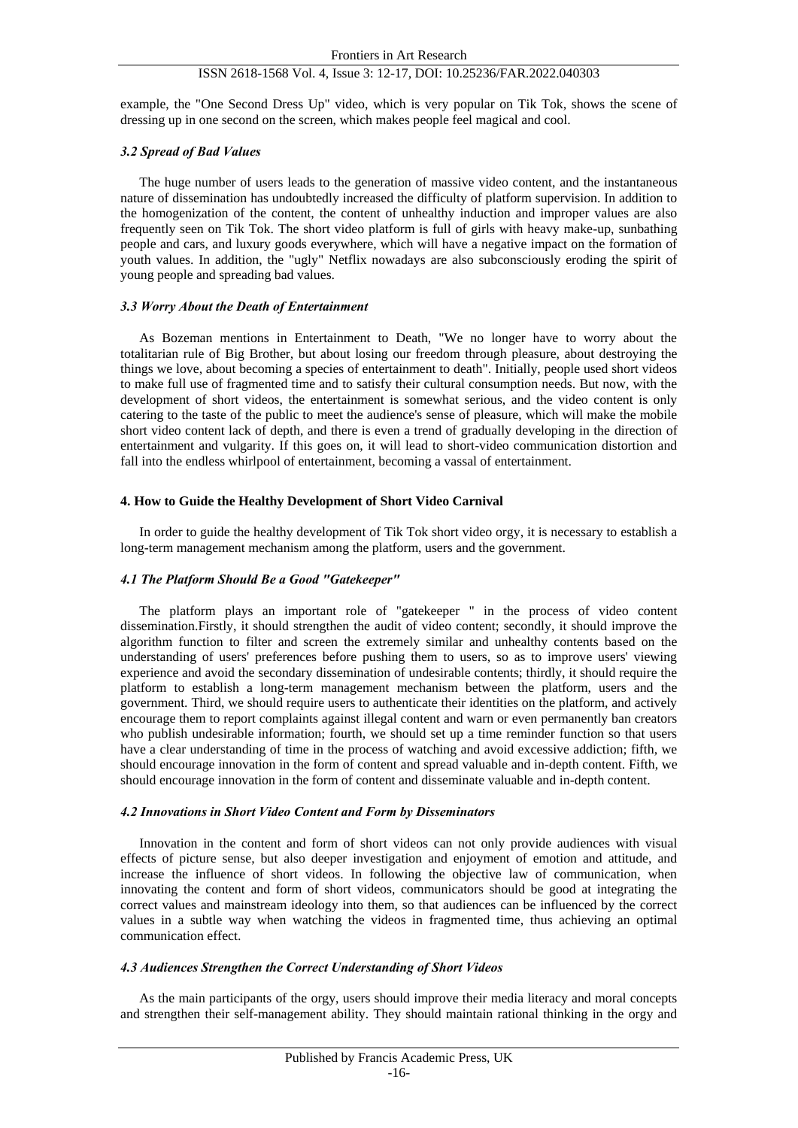example, the "One Second Dress Up" video, which is very popular on Tik Tok, shows the scene of dressing up in one second on the screen, which makes people feel magical and cool.

#### *3.2 Spread of Bad Values*

The huge number of users leads to the generation of massive video content, and the instantaneous nature of dissemination has undoubtedly increased the difficulty of platform supervision. In addition to the homogenization of the content, the content of unhealthy induction and improper values are also frequently seen on Tik Tok. The short video platform is full of girls with heavy make-up, sunbathing people and cars, and luxury goods everywhere, which will have a negative impact on the formation of youth values. In addition, the "ugly" Netflix nowadays are also subconsciously eroding the spirit of young people and spreading bad values.

#### *3.3 Worry About the Death of Entertainment*

As Bozeman mentions in Entertainment to Death, "We no longer have to worry about the totalitarian rule of Big Brother, but about losing our freedom through pleasure, about destroying the things we love, about becoming a species of entertainment to death". Initially, people used short videos to make full use of fragmented time and to satisfy their cultural consumption needs. But now, with the development of short videos, the entertainment is somewhat serious, and the video content is only catering to the taste of the public to meet the audience's sense of pleasure, which will make the mobile short video content lack of depth, and there is even a trend of gradually developing in the direction of entertainment and vulgarity. If this goes on, it will lead to short-video communication distortion and fall into the endless whirlpool of entertainment, becoming a vassal of entertainment.

#### **4. How to Guide the Healthy Development of Short Video Carnival**

In order to guide the healthy development of Tik Tok short video orgy, it is necessary to establish a long-term management mechanism among the platform, users and the government.

### *4.1 The Platform Should Be a Good "Gatekeeper"*

The platform plays an important role of "gatekeeper " in the process of video content dissemination.Firstly, it should strengthen the audit of video content; secondly, it should improve the algorithm function to filter and screen the extremely similar and unhealthy contents based on the understanding of users' preferences before pushing them to users, so as to improve users' viewing experience and avoid the secondary dissemination of undesirable contents; thirdly, it should require the platform to establish a long-term management mechanism between the platform, users and the government. Third, we should require users to authenticate their identities on the platform, and actively encourage them to report complaints against illegal content and warn or even permanently ban creators who publish undesirable information; fourth, we should set up a time reminder function so that users have a clear understanding of time in the process of watching and avoid excessive addiction; fifth, we should encourage innovation in the form of content and spread valuable and in-depth content. Fifth, we should encourage innovation in the form of content and disseminate valuable and in-depth content.

#### *4.2 Innovations in Short Video Content and Form by Disseminators*

Innovation in the content and form of short videos can not only provide audiences with visual effects of picture sense, but also deeper investigation and enjoyment of emotion and attitude, and increase the influence of short videos. In following the objective law of communication, when innovating the content and form of short videos, communicators should be good at integrating the correct values and mainstream ideology into them, so that audiences can be influenced by the correct values in a subtle way when watching the videos in fragmented time, thus achieving an optimal communication effect.

## *4.3 Audiences Strengthen the Correct Understanding of Short Videos*

As the main participants of the orgy, users should improve their media literacy and moral concepts and strengthen their self-management ability. They should maintain rational thinking in the orgy and